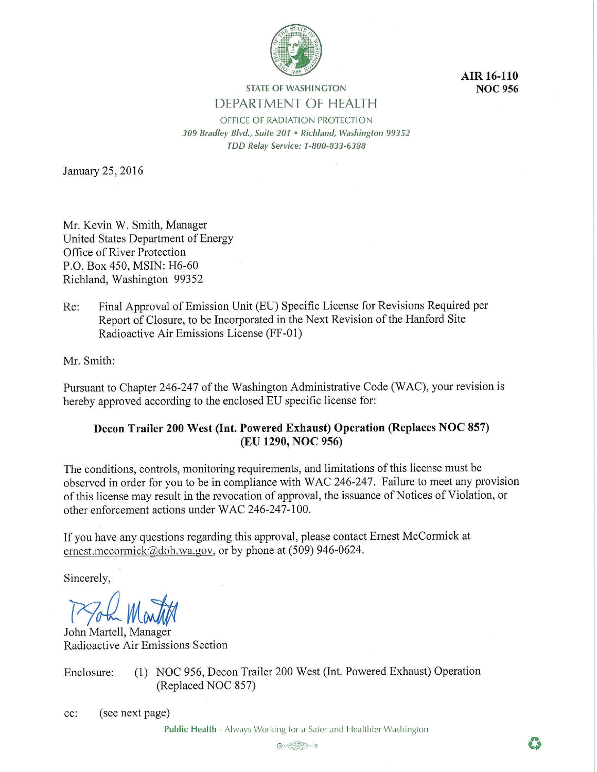

**AIR 16-110 NOC956** 

**STATE OF WASHINGTON DEPARTMENT OF HEALTH** 

OFFICE OF RADIATION PROTECTION *3 09 Bradley Blvd., Suite 201* • *Richland, Washington 99352 TDD Relay Service: 1-800-833-6388* 

January 25, 2016

Mr. Kevin W. Smith, Manager United States Department of Energy Office of River Protection P.O. Box 450, MSIN: H6-60 Richland, Washington 99352

Re: Final Approval of Emission Unit (EU) Specific License for Revisions Required per Report of Closure, to be Incorporated in the Next Revision of the Hanford Site Radioactive Air Emissions License (FF-01)

Mr. Smith:

Pursuant to Chapter 246-247 of the Washington Administrative Code (WAC), your revision is hereby approved according to the enclosed EU specific license for:

# **Decon Trailer 200 West (Int. Powered Exhaust) Operation (Replaces NOC 857) (EU 1290, NOC 956)**

The conditions, controls, monitoring requirements, and limitations of this license must be observed in order for you to be in compliance with WAC 246-247. Failure to meet any provision of this license may result in the revocation of approval, the issuance of Notices of Violation, or other enforcement actions under WAC 246-247-100.

If you have any questions regarding this approval, please contact Ernest McCormick at ernest.mccormick@doh.wa.gov, or by phone at (509) 946-0624.

Sincerely,

Took Martin

John Martell, Manager Radioactive Air Emissions Section

Enclosure: (1) NOC 956, Decon Trailer 200 West (Int. Powered Exhaust) Operation (Replaced NOC 857)

cc: (see next page)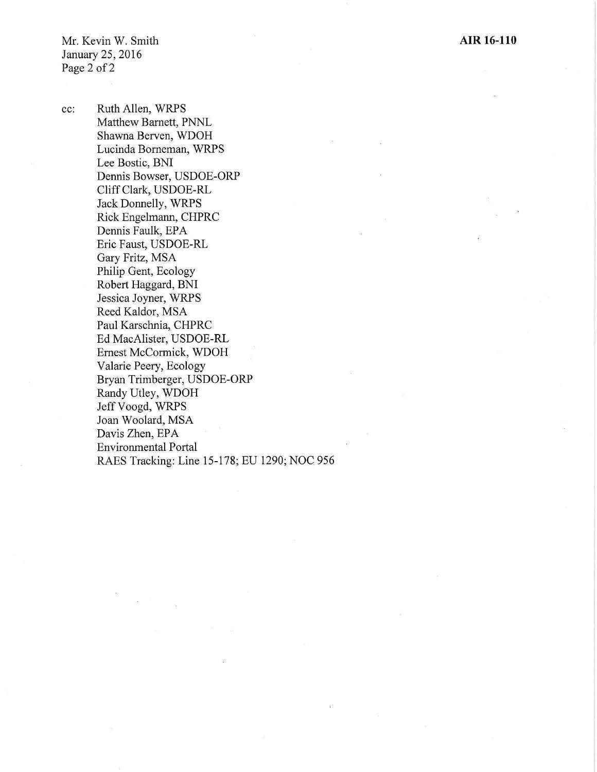Mr. Kevin W. Smith January 25, 2016 Page 2 of 2

cc: Ruth Allen, WRPS Matthew Barnett, PNNL Shawna Berven, WDOH Lucinda Borneman, WRPS Lee Bostic, BNI Dennis Bowser, USDOE-ORP Cliff Clark, USDOE-RL Jack Donnelly, WRPS Rick Engelmann, CHPRC Dennis Faulk, EPA Eric Faust, USDOE-RL Gary Fritz, MSA Philip Gent, Ecology Robert Haggard, BNI Jessica Joyner, WRPS Reed Kaldor, MSA Paul Karschnia, CHPRC Ed MacAlister, USDOE-RL Ernest McCormick, WDOH Valarie Peery, Ecology Bryan Trimberger, USDOE-ORP Randy Utley, WDOH Jeff Voogd, WRPS Joan Woolard, MSA Davis Zhen, EPA Environmental Portal RAES Tracking: Line 15-178; EU 1290; NOC 956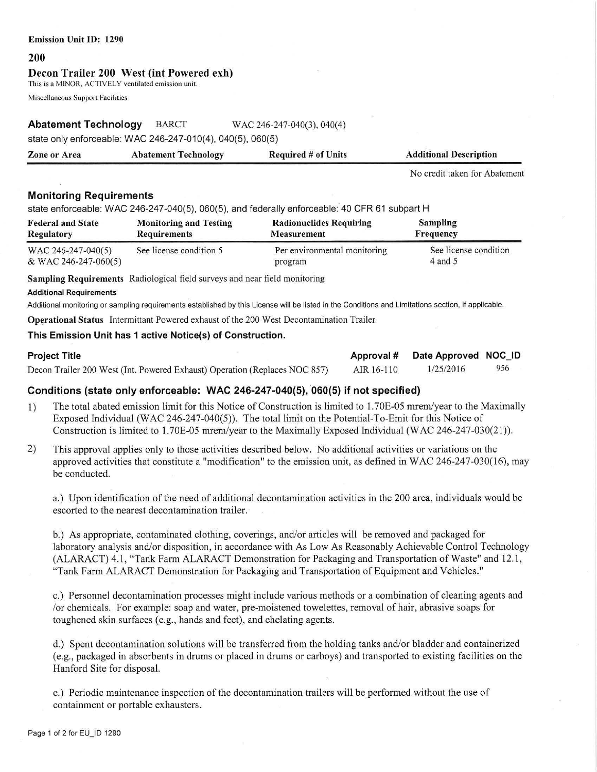#### **Emission Unit** ID: **1290**

#### **200**

### **Decou Trailer 200 West (int Powered exh)**

This is a MINOR, ACTIVELY ventilated emission unit.

Miscellaneous Support Facilities

# **Abatement Technology** BARCT WAC 246-247-040(3), 040(4)

state only enforceable: WAC 246-247-010(4), 040(5), 060(5)

| <b>Zone or Area</b> | <b>Abatement Technology</b> | <b>Required # of Units</b> | <b>Additional Description</b> |
|---------------------|-----------------------------|----------------------------|-------------------------------|
|                     |                             |                            |                               |

No credit taken for Abatement

# **Monitoring Requirements**

state enforceable: WAC 246-247-040(5), 060(5), and federally enforceable: 40 CFR 61 subpart H

| <b>Federal and State</b> | <b>Monitoring and Testing</b> | <b>Radionuclides Requiring</b> | Sampling              |
|--------------------------|-------------------------------|--------------------------------|-----------------------|
| <b>Regulatory</b>        | <b>Requirements</b>           | <b>Measurement</b>             | Frequency             |
| WAC 246-247-040(5)       | See license condition 5       | Per environmental monitoring   | See license condition |
| & WAC 246-247-060(5)     |                               | program                        | $4$ and $5$           |

**Sampling Requirements** Radiological field surveys and near field monitoring

#### **Additional Requirements**

Additional monitoring or sampling requirements established by this License will be listed in the Conditions and Limitations section, if applicable.

**Operational Status** Intermittant Powered exhaust of the 200 West Decontamination Trailer

### **This Emission Unit has 1 active Notice(s) of Construction.**

| <b>Project Title</b>                                                       |            | Approval # Date Approved NOC ID |     |
|----------------------------------------------------------------------------|------------|---------------------------------|-----|
| Decon Trailer 200 West (Int. Powered Exhaust) Operation (Replaces NOC 857) | AIR 16-110 | 1/25/2016                       | 956 |

# Conditions (state only enforceable: WAC 246-247-040(5), 060(5) if not specified)

- 1) The total abated emission limit for this Notice of Construction is limited to 1. 70E-05 mrem/year to the Maximally Exposed Individual (WAC 246-247-040(5)). The total limit on the Potential-To-Emit for this Notice of Construction is limited to 1.70E-05 mrem/year to the Maximally Exposed Individual (WAC 246-247-030(21)).
- 2) This approval applies only to those activities described below. No additional activities or variations on the approved activities that constitute a "modification" to the emission unit, as defined in WAC 246-247-030(16), may be conducted.

a.) Upon identification of the need of additional decontamination activities in the 200 area, individuals would be escorted to the nearest decontamination trailer.

b.) As appropriate, contaminated clothing, coverings, and/or articles will be removed and packaged for laboratory analysis and/or disposition, in accordance with As Low As Reasonably Achievable Control Technology (ALARACT) 4.1, "Tank Farm ALARACT Demonstration for Packaging and Transportation of Waste" and 12.1, "Tank Fann ALARACT Demonstration for Packaging and Transportation of Equipment and Vehicles."

c.) Personnel decontamination processes might include various methods or a combination of cleaning agents and /or chemicals. For example: soap and water, pre-moistened towelettes, removal of hair, abrasive soaps for toughened skin surfaces (e.g., hands and feet), and chelating agents.

d.) Spent decontamination solutions will be transferred from the holding tanks and/or bladder and containerized (e.g., packaged in absorbents in drums or placed in drums or carboys) and transported to existing facilities on the Hanford Site for disposal.

e.) Periodic maintenance inspection of the decontamination trailers will be perfonned without the use of containment or portable exhausters.